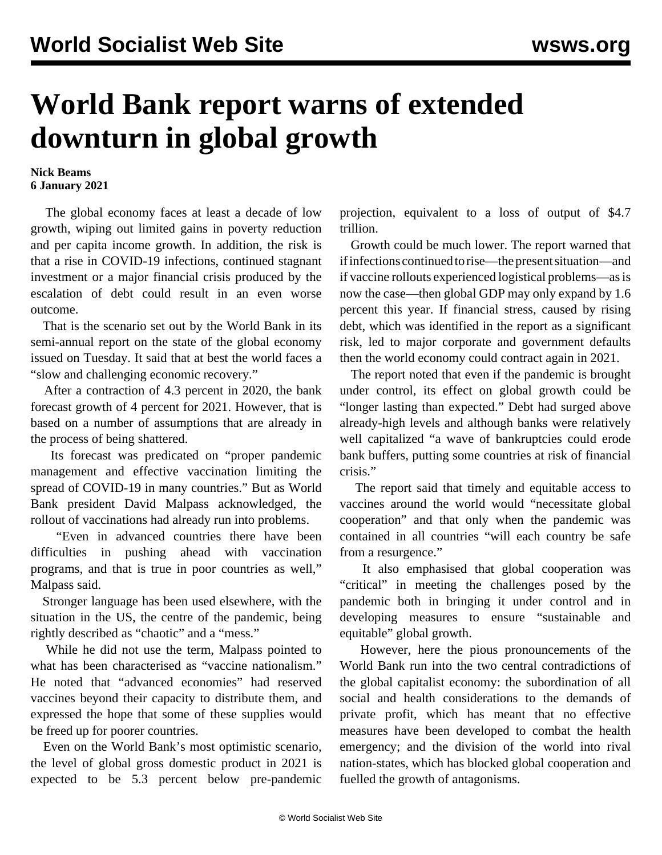## **World Bank report warns of extended downturn in global growth**

## **Nick Beams 6 January 2021**

 The global economy faces at least a decade of low growth, wiping out limited gains in poverty reduction and per capita income growth. In addition, the risk is that a rise in COVID-19 infections, continued stagnant investment or a major financial crisis produced by the escalation of debt could result in an even worse outcome.

 That is the scenario set out by the World Bank in its semi-annual report on the state of the global economy issued on Tuesday. It said that at best the world faces a "slow and challenging economic recovery."

 After a contraction of 4.3 percent in 2020, the bank forecast growth of 4 percent for 2021. However, that is based on a number of assumptions that are already in the process of being shattered.

 Its forecast was predicated on "proper pandemic management and effective vaccination limiting the spread of COVID-19 in many countries." But as World Bank president David Malpass acknowledged, the rollout of vaccinations had already run into problems.

 "Even in advanced countries there have been difficulties in pushing ahead with vaccination programs, and that is true in poor countries as well," Malpass said.

 Stronger language has been used elsewhere, with the situation in the US, the centre of the pandemic, being rightly described as "chaotic" and a "mess."

 While he did not use the term, Malpass pointed to what has been characterised as "vaccine nationalism." He noted that "advanced economies" had reserved vaccines beyond their capacity to distribute them, and expressed the hope that some of these supplies would be freed up for poorer countries.

 Even on the World Bank's most optimistic scenario, the level of global gross domestic product in 2021 is expected to be 5.3 percent below pre-pandemic projection, equivalent to a loss of output of \$4.7 trillion.

 Growth could be much lower. The report warned that if infections continued to rise—the present situation—and if vaccine rollouts experienced logistical problems—as is now the case—then global GDP may only expand by 1.6 percent this year. If financial stress, caused by rising debt, which was identified in the report as a significant risk, led to major corporate and government defaults then the world economy could contract again in 2021.

 The report noted that even if the pandemic is brought under control, its effect on global growth could be "longer lasting than expected." Debt had surged above already-high levels and although banks were relatively well capitalized "a wave of bankruptcies could erode bank buffers, putting some countries at risk of financial crisis."

 The report said that timely and equitable access to vaccines around the world would "necessitate global cooperation" and that only when the pandemic was contained in all countries "will each country be safe from a resurgence."

 It also emphasised that global cooperation was "critical" in meeting the challenges posed by the pandemic both in bringing it under control and in developing measures to ensure "sustainable and equitable" global growth.

 However, here the pious pronouncements of the World Bank run into the two central contradictions of the global capitalist economy: the subordination of all social and health considerations to the demands of private profit, which has meant that no effective measures have been developed to combat the health emergency; and the division of the world into rival nation-states, which has blocked global cooperation and fuelled the growth of antagonisms.